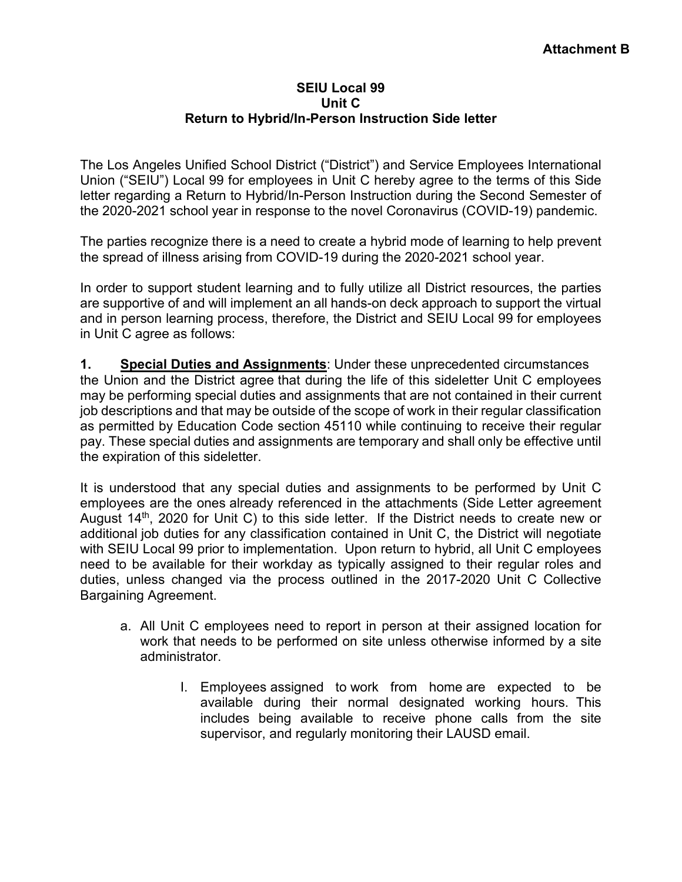## **SEIU Local 99 Unit C Return to Hybrid/In-Person Instruction Side letter**

The Los Angeles Unified School District ("District") and Service Employees International Union ("SEIU") Local 99 for employees in Unit C hereby agree to the terms of this Side letter regarding a Return to Hybrid/In-Person Instruction during the Second Semester of the 2020-2021 school year in response to the novel Coronavirus (COVID-19) pandemic.

The parties recognize there is a need to create a hybrid mode of learning to help prevent the spread of illness arising from COVID-19 during the 2020-2021 school year.

In order to support student learning and to fully utilize all District resources, the parties are supportive of and will implement an all hands-on deck approach to support the virtual and in person learning process, therefore, the District and SEIU Local 99 for employees in Unit C agree as follows:

**1. Special Duties and Assignments**: Under these unprecedented circumstances the Union and the District agree that during the life of this sideletter Unit C employees may be performing special duties and assignments that are not contained in their current job descriptions and that may be outside of the scope of work in their regular classification as permitted by Education Code section 45110 while continuing to receive their regular pay. These special duties and assignments are temporary and shall only be effective until the expiration of this sideletter.

It is understood that any special duties and assignments to be performed by Unit C employees are the ones already referenced in the attachments (Side Letter agreement August  $14<sup>th</sup>$ , 2020 for Unit C) to this side letter. If the District needs to create new or additional job duties for any classification contained in Unit C, the District will negotiate with SEIU Local 99 prior to implementation. Upon return to hybrid, all Unit C employees need to be available for their workday as typically assigned to their regular roles and duties, unless changed via the process outlined in the 2017-2020 Unit C Collective Bargaining Agreement.

- a. All Unit C employees need to report in person at their assigned location for work that needs to be performed on site unless otherwise informed by a site administrator.
	- I. Employees assigned to work from home are expected to be available during their normal designated working hours. This includes being available to receive phone calls from the site supervisor, and regularly monitoring their LAUSD email.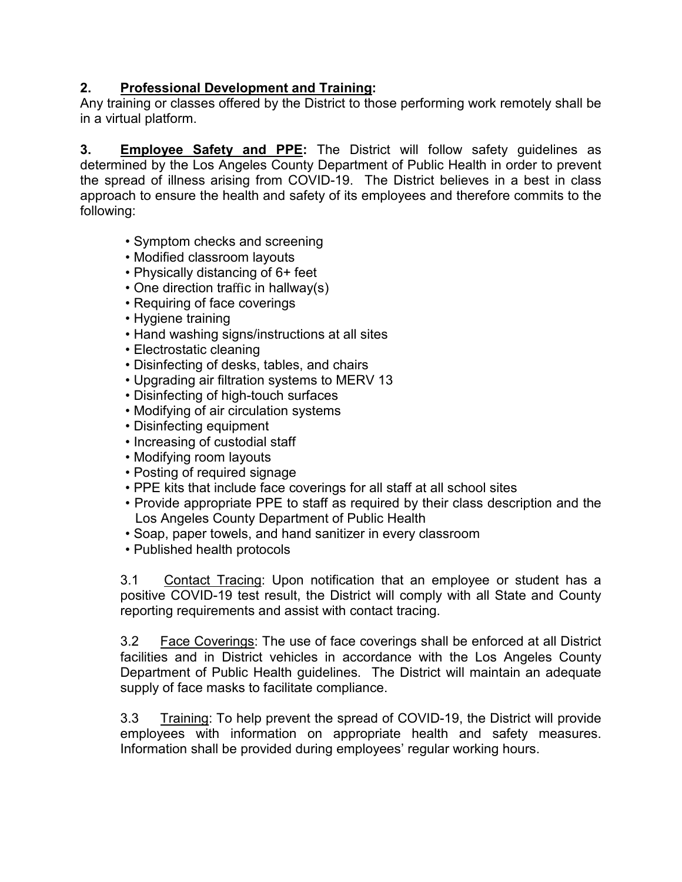## **2. Professional Development and Training:**

Any training or classes offered by the District to those performing work remotely shall be in a virtual platform.

**3. Employee Safety and PPE:** The District will follow safety guidelines as determined by the Los Angeles County Department of Public Health in order to prevent the spread of illness arising from COVID-19. The District believes in a best in class approach to ensure the health and safety of its employees and therefore commits to the following:

- Symptom checks and screening
- Modified classroom layouts
- Physically distancing of 6+ feet
- One direction traffic in hallway(s)
- Requiring of face coverings
- Hygiene training
- Hand washing signs/instructions at all sites
- Electrostatic cleaning
- Disinfecting of desks, tables, and chairs
- Upgrading air filtration systems to MERV 13
- Disinfecting of high-touch surfaces
- Modifying of air circulation systems
- Disinfecting equipment
- Increasing of custodial staff
- Modifying room layouts
- Posting of required signage
- PPE kits that include face coverings for all staff at all school sites
- Provide appropriate PPE to staff as required by their class description and the Los Angeles County Department of Public Health
- Soap, paper towels, and hand sanitizer in every classroom
- Published health protocols

3.1 Contact Tracing: Upon notification that an employee or student has a positive COVID-19 test result, the District will comply with all State and County reporting requirements and assist with contact tracing.

3.2 Face Coverings: The use of face coverings shall be enforced at all District facilities and in District vehicles in accordance with the Los Angeles County Department of Public Health guidelines. The District will maintain an adequate supply of face masks to facilitate compliance.

3.3 Training: To help prevent the spread of COVID-19, the District will provide employees with information on appropriate health and safety measures. Information shall be provided during employees' regular working hours.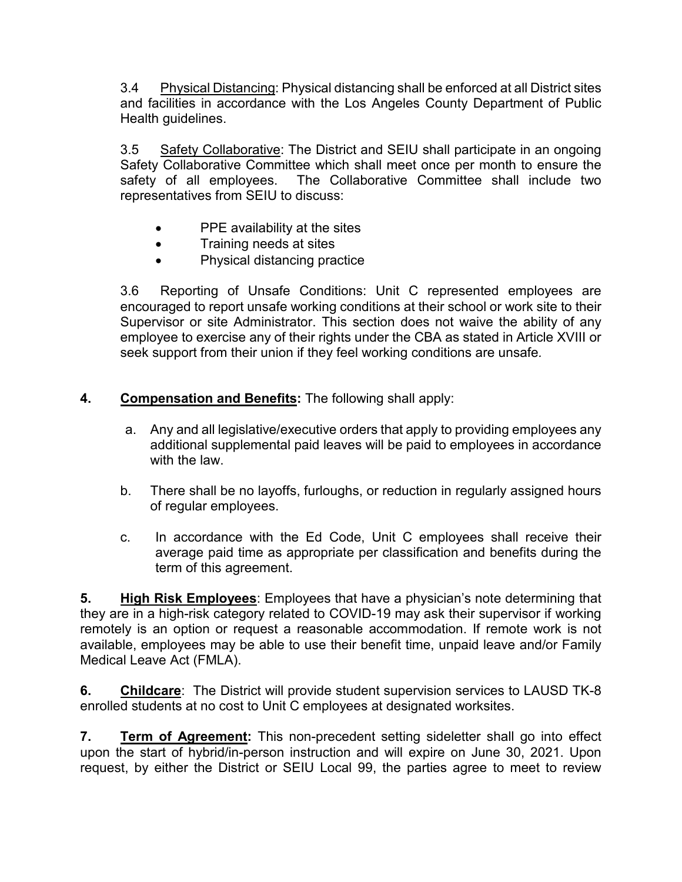3.4 Physical Distancing: Physical distancing shall be enforced at all District sites and facilities in accordance with the Los Angeles County Department of Public Health guidelines.

3.5 Safety Collaborative: The District and SEIU shall participate in an ongoing Safety Collaborative Committee which shall meet once per month to ensure the safety of all employees. The Collaborative Committee shall include two representatives from SEIU to discuss:

- PPE availability at the sites
- Training needs at sites
- Physical distancing practice

3.6 Reporting of Unsafe Conditions: Unit C represented employees are encouraged to report unsafe working conditions at their school or work site to their Supervisor or site Administrator. This section does not waive the ability of any employee to exercise any of their rights under the CBA as stated in Article XVIII or seek support from their union if they feel working conditions are unsafe*.*

## **4. Compensation and Benefits:** The following shall apply:

- a. Any and all legislative/executive orders that apply to providing employees any additional supplemental paid leaves will be paid to employees in accordance with the law
- b. There shall be no layoffs, furloughs, or reduction in regularly assigned hours of regular employees.
- c. In accordance with the Ed Code, Unit C employees shall receive their average paid time as appropriate per classification and benefits during the term of this agreement.

**5. High Risk Employees**: Employees that have a physician's note determining that they are in a high-risk category related to COVID-19 may ask their supervisor if working remotely is an option or request a reasonable accommodation. If remote work is not available, employees may be able to use their benefit time, unpaid leave and/or Family Medical Leave Act (FMLA).

**6. Childcare**: The District will provide student supervision services to LAUSD TK-8 enrolled students at no cost to Unit C employees at designated worksites.

**7. Term of Agreement:** This non-precedent setting sideletter shall go into effect upon the start of hybrid/in-person instruction and will expire on June 30, 2021. Upon request, by either the District or SEIU Local 99, the parties agree to meet to review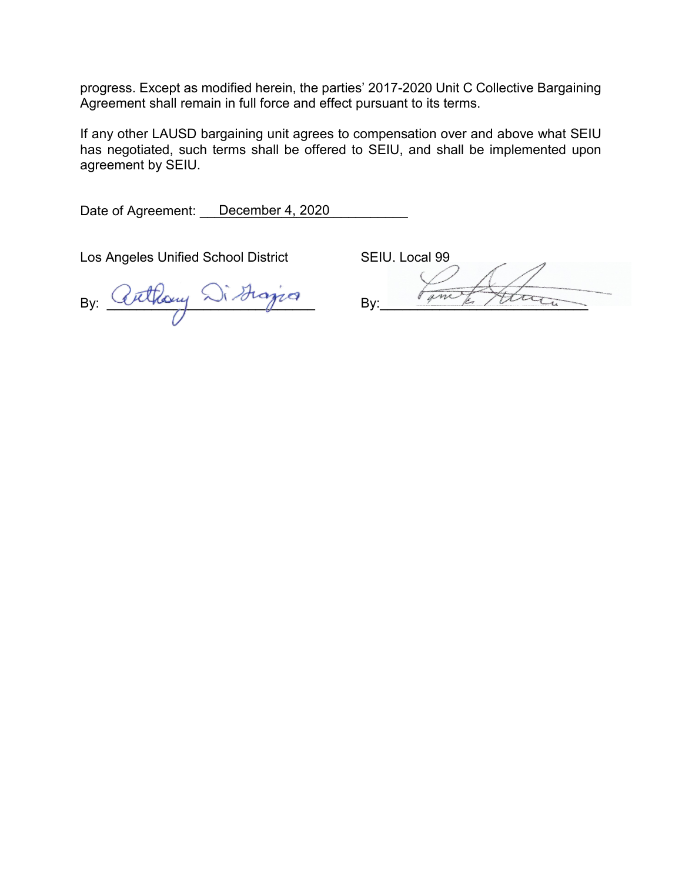progress. Except as modified herein, the parties' 2017-2020 Unit C Collective Bargaining Agreement shall remain in full force and effect pursuant to its terms.

If any other LAUSD bargaining unit agrees to compensation over and above what SEIU has negotiated, such terms shall be offered to SEIU, and shall be implemented upon agreement by SEIU.

Date of Agreement: \_\_\_December 4, 2020

Los Angeles Unified School District SEIU, Local 99

By: Cuthouy Distinguan By: